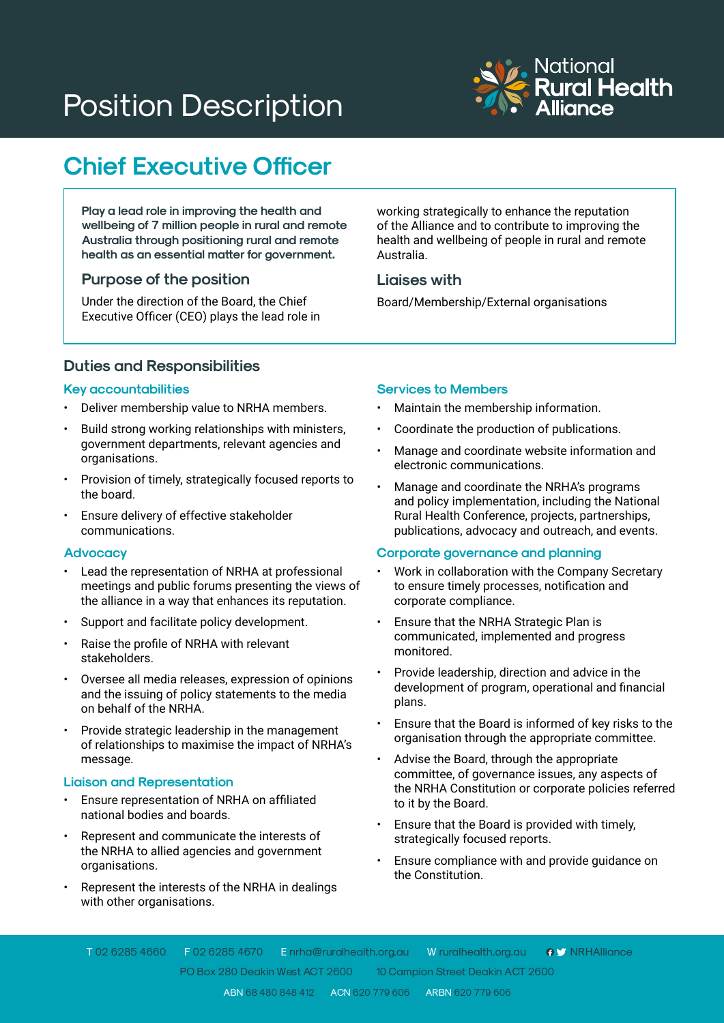# Position Description



# **Chief Executive Officer**

**Play a lead role in improving the health and wellbeing of 7 million people in rural and remote Australia through positioning rural and remote health as an essential matter for government.**

# **Purpose of the position**

Under the direction of the Board, the Chief Executive Officer (CEO) plays the lead role in working strategically to enhance the reputation of the Alliance and to contribute to improving the health and wellbeing of people in rural and remote Australia.

# **Liaises with**

Board/Membership/External organisations

# **Duties and Responsibilities**

### **Key accountabilities**

- Deliver membership value to NRHA members.
- Build strong working relationships with ministers, government departments, relevant agencies and organisations.
- Provision of timely, strategically focused reports to the board.
- Ensure delivery of effective stakeholder communications.

#### **Advocacy**

- Lead the representation of NRHA at professional meetings and public forums presenting the views of the alliance in a way that enhances its reputation.
- Support and facilitate policy development.
- Raise the profile of NRHA with relevant stakeholders.
- Oversee all media releases, expression of opinions and the issuing of policy statements to the media on behalf of the NRHA.
- Provide strategic leadership in the management of relationships to maximise the impact of NRHA's message.

# **Liaison and Representation**

- • Ensure representation of NRHA on affiliated national bodies and boards.
- Represent and communicate the interests of the NRHA to allied agencies and government organisations.
- Represent the interests of the NRHA in dealings with other organisations.

# **Services to Members**

- Maintain the membership information.
- Coordinate the production of publications.
- Manage and coordinate website information and electronic communications.
- Manage and coordinate the NRHA's programs and policy implementation, including the National Rural Health Conference, projects, partnerships, publications, advocacy and outreach, and events.

#### **Corporate governance and planning**

- Work in collaboration with the Company Secretary to ensure timely processes, notification and corporate compliance.
- Ensure that the NRHA Strategic Plan is communicated, implemented and progress monitored.
- Provide leadership, direction and advice in the development of program, operational and financial plans.
- Ensure that the Board is informed of key risks to the organisation through the appropriate committee.
- Advise the Board, through the appropriate committee, of governance issues, any aspects of the NRHA Constitution or corporate policies referred to it by the Board.
- Ensure that the Board is provided with timely, strategically focused reports.
- Ensure compliance with and provide guidance on the Constitution.